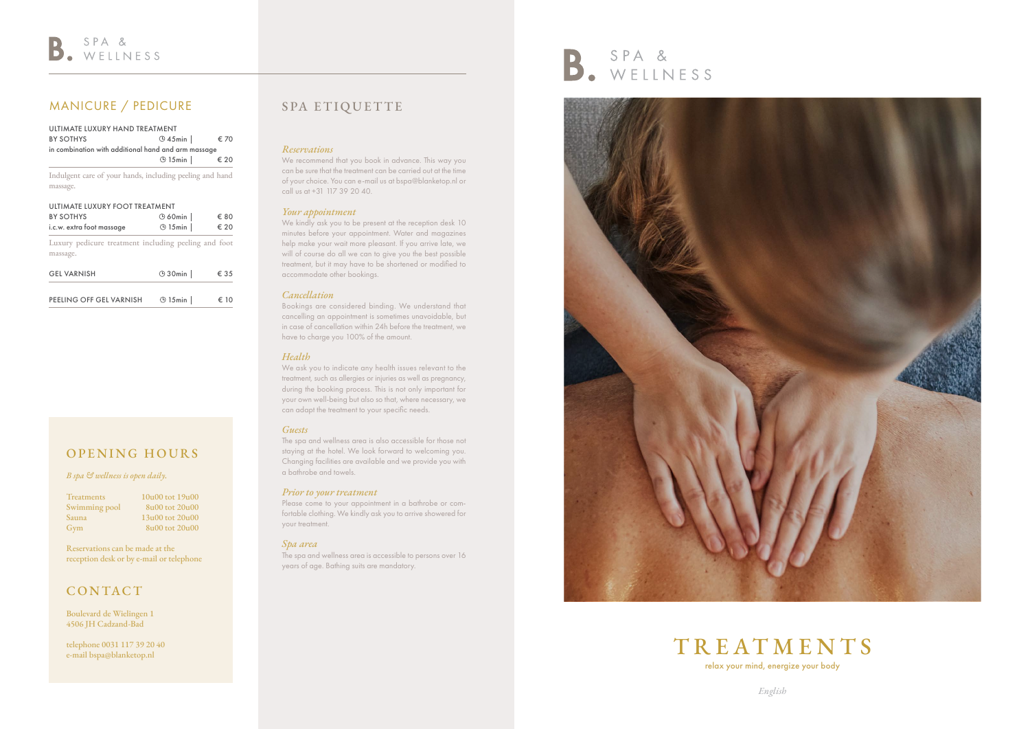

## SPA ETIQUETTE

#### *Reservations*

We recommend that you book in advance. This way you can be sure that the treatment can be carried out at the time of your choice. You can e-mail us at bspa@blanketop.nl or call us at +31 117 39 20 40.

#### *Your appointment*

We kindly ask you to be present at the reception desk 10 minutes before your appointment. Water and magazines help make your wait more pleasant. If you arrive late, we will of course do all we can to give you the best possible treatment, but it may have to be shortened or modified to accommodate other bookings.

#### *Cancellation*

Bookings are considered binding. We understand that cancelling an appointment is sometimes unavoidable, but in case of cancellation within 24h before the treatment, we have to charge you 100% of the amount.

Please come to your appointment in a bathrobe or comfortable clothing. We kindly ask you to arrive showered for your treatment.

#### *Health*

We ask you to indicate any health issues relevant to the treatment, such as allergies or injuries as well as pregnancy, during the booking process. This is not only important for your own well-being but also so that, where necessary, we can adapt the treatment to your specific needs.

#### *Guests*

The spa and wellness area is also accessible for those not staying at the hotel. We look forward to welcoming you. Changing facilities are available and we provide you with a bathrobe and towels.

#### *Prior to your treatment*

#### *Spa area*

The spa and wellness area is accessible to persons over 16 years of age. Bathing suits are mandatory.





## MANICURE / PEDICURE

| <b>BY SOTHYS</b>                                         | $\odot$ 45min $\parallel$ | € 70 |
|----------------------------------------------------------|---------------------------|------|
| in combination with additional hand and arm massage      |                           |      |
|                                                          | $\odot$ 15 min            | € 20 |
| Indulgent care of your hands, including peeling and hand |                           |      |
|                                                          |                           |      |
| massage.                                                 |                           |      |
| ULTIMATE LUXURY FOOT TREATMENT                           |                           |      |
| <b>BY SOTHYS</b>                                         | $\odot$ 60min             | € 80 |

Luxury pedicure treatment including peeling and foot massage.

| <b>GEL VARNISH</b>      | $\odot$ 30 min | € 35          |
|-------------------------|----------------|---------------|
|                         |                |               |
| PEELING OFF GEL VARNISH | $\odot$ 15 min | $\epsilon$ 10 |

## OPENING HOURS

#### *B spa & wellness is open daily.*

| Treatments    |
|---------------|
| Swimming pool |
| Sauna         |
| Gym           |

 $10u00$  tot  $19u00$  $8u00$  tot  $20u00$  $13u00$  tot  $20u00$  $8u(0)$  tot  $20u(0)$ 

Reservations can be made at the reception desk or by e-mail or telephone

## CONTACT

Boulevard de Wielingen 1 4506 JH Cadzand-Bad

telephone 0031 117 39 20 40 e-mail bspa@blanketop.nl

*English*